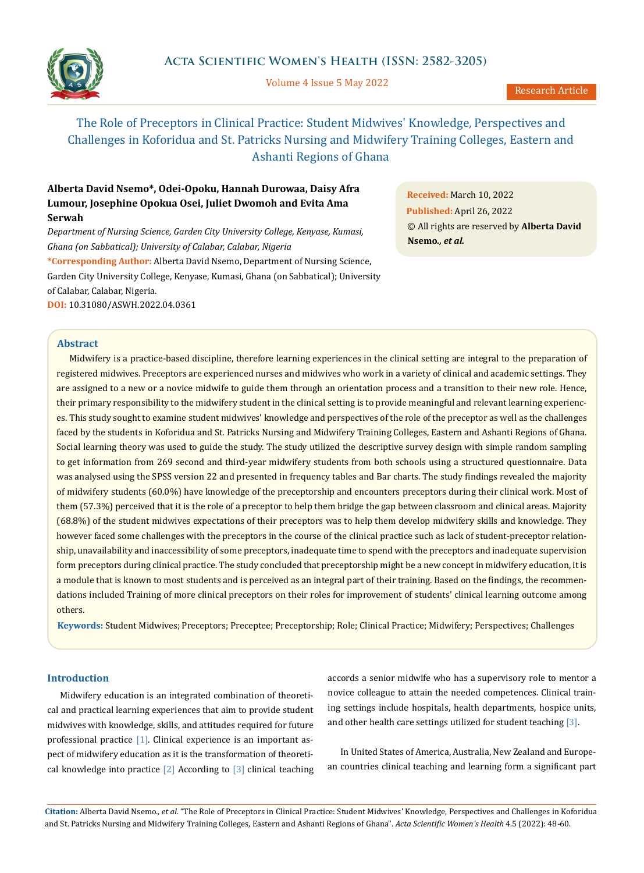

Volume 4 Issue 5 May 2022

# The Role of Preceptors in Clinical Practice: Student Midwives' Knowledge, Perspectives and Challenges in Koforidua and St. Patricks Nursing and Midwifery Training Colleges, Eastern and Ashanti Regions of Ghana

# **Alberta David Nsemo\*, Odei-Opoku, Hannah Durowaa, Daisy Afra Lumour, Josephine Opokua Osei, Juliet Dwomoh and Evita Ama Serwah**

*Department of Nursing Science, Garden City University College, Kenyase, Kumasi, Ghana (on Sabbatical); University of Calabar, Calabar, Nigeria*

**\*Corresponding Author:** Alberta David Nsemo, Department of Nursing Science, Garden City University College, Kenyase, Kumasi, Ghana (on Sabbatical); University of Calabar, Calabar, Nigeria. **DOI:** [10.31080/ASWH.2022.04.0361](https://actascientific.com/ASWH/pdf/ASWH-04-0361.pdf)

**Received:** March 10, 2022 **Published:** April 26, 2022 © All rights are reserved by **Alberta David Nsemo***., et al.*

# **Abstract**

Midwifery is a practice-based discipline, therefore learning experiences in the clinical setting are integral to the preparation of registered midwives. Preceptors are experienced nurses and midwives who work in a variety of clinical and academic settings. They are assigned to a new or a novice midwife to guide them through an orientation process and a transition to their new role. Hence, their primary responsibility to the midwifery student in the clinical setting is to provide meaningful and relevant learning experiences. This study sought to examine student midwives' knowledge and perspectives of the role of the preceptor as well as the challenges faced by the students in Koforidua and St. Patricks Nursing and Midwifery Training Colleges, Eastern and Ashanti Regions of Ghana. Social learning theory was used to guide the study. The study utilized the descriptive survey design with simple random sampling to get information from 269 second and third-year midwifery students from both schools using a structured questionnaire. Data was analysed using the SPSS version 22 and presented in frequency tables and Bar charts. The study findings revealed the majority of midwifery students (60.0%) have knowledge of the preceptorship and encounters preceptors during their clinical work. Most of them (57.3%) perceived that it is the role of a preceptor to help them bridge the gap between classroom and clinical areas. Majority (68.8%) of the student midwives expectations of their preceptors was to help them develop midwifery skills and knowledge. They however faced some challenges with the preceptors in the course of the clinical practice such as lack of student-preceptor relationship, unavailability and inaccessibility of some preceptors, inadequate time to spend with the preceptors and inadequate supervision form preceptors during clinical practice. The study concluded that preceptorship might be a new concept in midwifery education, it is a module that is known to most students and is perceived as an integral part of their training. Based on the findings, the recommendations included Training of more clinical preceptors on their roles for improvement of students' clinical learning outcome among others.

**Keywords:** Student Midwives; Preceptors; Preceptee; Preceptorship; Role; Clinical Practice; Midwifery; Perspectives; Challenges

# **Introduction**

Midwifery education is an integrated combination of theoretical and practical learning experiences that aim to provide student midwives with knowledge, skills, and attitudes required for future professional practice [1]. Clinical experience is an important aspect of midwifery education as it is the transformation of theoretical knowledge into practice  $\lceil 2 \rceil$  According to  $\lceil 3 \rceil$  clinical teaching accords a senior midwife who has a supervisory role to mentor a novice colleague to attain the needed competences. Clinical training settings include hospitals, health departments, hospice units, and other health care settings utilized for student teaching [3].

In United States of America, Australia, New Zealand and European countries clinical teaching and learning form a significant part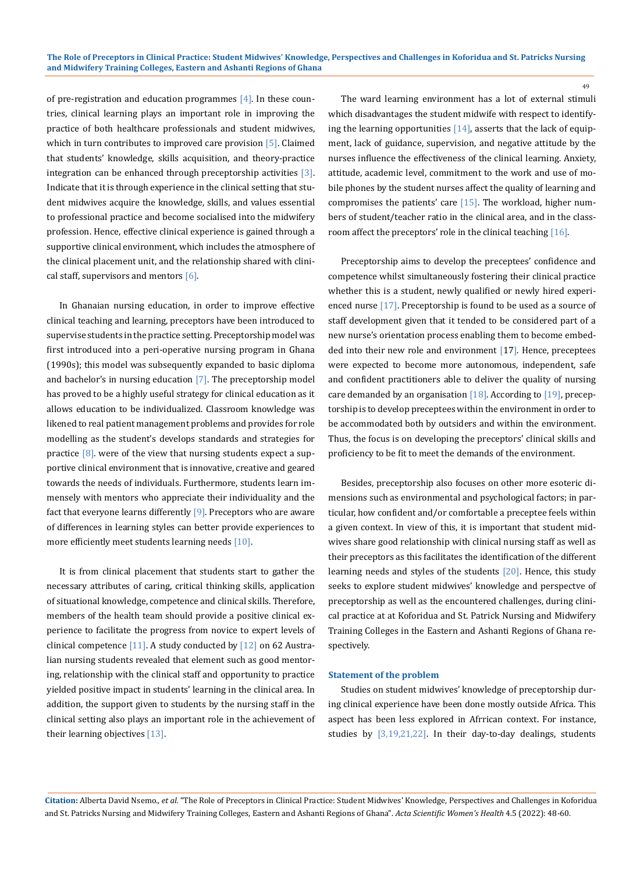of pre-registration and education programmes [4]. In these countries, clinical learning plays an important role in improving the practice of both healthcare professionals and student midwives, which in turn contributes to improved care provision [5]. Claimed that students' knowledge, skills acquisition, and theory-practice integration can be enhanced through preceptorship activities [3]. Indicate that it is through experience in the clinical setting that student midwives acquire the knowledge, skills, and values essential to professional practice and become socialised into the midwifery profession. Hence, effective clinical experience is gained through a supportive clinical environment, which includes the atmosphere of the clinical placement unit, and the relationship shared with clinical staff, supervisors and mentors  $[6]$ .

In Ghanaian nursing education, in order to improve effective clinical teaching and learning, preceptors have been introduced to supervise students in the practice setting. Preceptorship model was first introduced into a peri-operative nursing program in Ghana (1990s); this model was subsequently expanded to basic diploma and bachelor's in nursing education [7]. The preceptorship model has proved to be a highly useful strategy for clinical education as it allows education to be individualized. Classroom knowledge was likened to real patient management problems and provides for role modelling as the student's develops standards and strategies for practice  $[8]$ . were of the view that nursing students expect a supportive clinical environment that is innovative, creative and geared towards the needs of individuals. Furthermore, students learn immensely with mentors who appreciate their individuality and the fact that everyone learns differently  $[9]$ . Preceptors who are aware of differences in learning styles can better provide experiences to more efficiently meet students learning needs [10].

It is from clinical placement that students start to gather the necessary attributes of caring, critical thinking skills, application of situational knowledge, competence and clinical skills. Therefore, members of the health team should provide a positive clinical experience to facilitate the progress from novice to expert levels of clinical competence  $[11]$ . A study conducted by  $[12]$  on 62 Australian nursing students revealed that element such as good mentoring, relationship with the clinical staff and opportunity to practice yielded positive impact in students' learning in the clinical area. In addition, the support given to students by the nursing staff in the clinical setting also plays an important role in the achievement of their learning objectives [13].

The ward learning environment has a lot of external stimuli which disadvantages the student midwife with respect to identifying the learning opportunities  $[14]$ , asserts that the lack of equipment, lack of guidance, supervision, and negative attitude by the nurses influence the effectiveness of the clinical learning. Anxiety, attitude, academic level, commitment to the work and use of mobile phones by the student nurses affect the quality of learning and compromises the patients' care [15]. The workload, higher numbers of student/teacher ratio in the clinical area, and in the classroom affect the preceptors' role in the clinical teaching [16].

49

Preceptorship aims to develop the preceptees' confidence and competence whilst simultaneously fostering their clinical practice whether this is a student, newly qualified or newly hired experienced nurse [17]. Preceptorship is found to be used as a source of staff development given that it tended to be considered part of a new nurse's orientation process enabling them to become embedded into their new role and environment [17]. Hence, preceptees were expected to become more autonomous, independent, safe and confident practitioners able to deliver the quality of nursing care demanded by an organisation [18]. According to [19], preceptorship is to develop preceptees within the environment in order to be accommodated both by outsiders and within the environment. Thus, the focus is on developing the preceptors' clinical skills and proficiency to be fit to meet the demands of the environment.

Besides, preceptorship also focuses on other more esoteric dimensions such as environmental and psychological factors; in particular, how confident and/or comfortable a preceptee feels within a given context. In view of this, it is important that student midwives share good relationship with clinical nursing staff as well as their preceptors as this facilitates the identification of the different learning needs and styles of the students [20]. Hence, this study seeks to explore student midwives' knowledge and perspectve of preceptorship as well as the encountered challenges, during clinical practice at at Koforidua and St. Patrick Nursing and Midwifery Training Colleges in the Eastern and Ashanti Regions of Ghana respectively.

#### **Statement of the problem**

Studies on student midwives' knowledge of preceptorship during clinical experience have been done mostly outside Africa. This aspect has been less explored in Afrrican context. For instance, studies by [3,19,21,22]. In their day-to-day dealings, students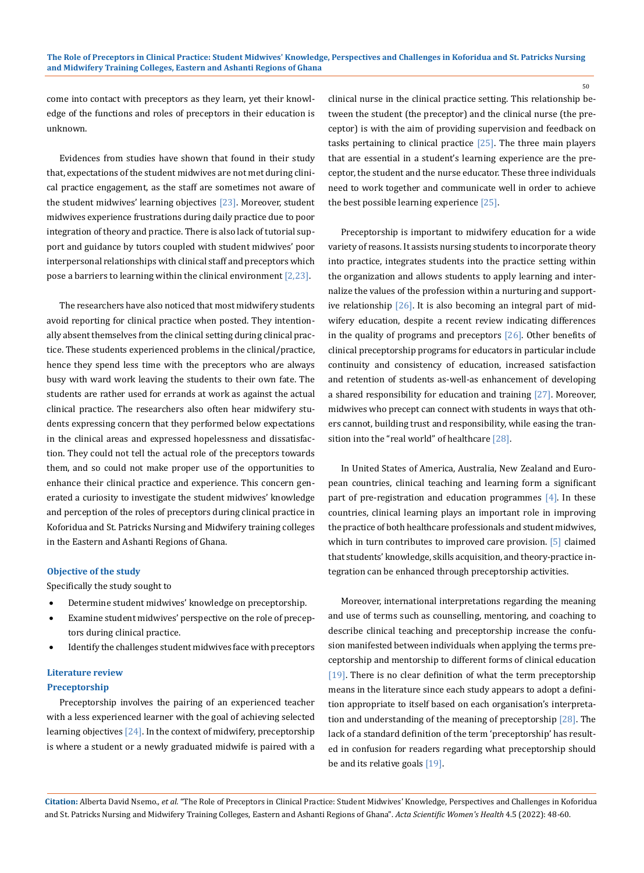50

come into contact with preceptors as they learn, yet their knowledge of the functions and roles of preceptors in their education is unknown.

Evidences from studies have shown that found in their study that, expectations of the student midwives are not met during clinical practice engagement, as the staff are sometimes not aware of the student midwives' learning objectives [23]. Moreover, student midwives experience frustrations during daily practice due to poor integration of theory and practice. There is also lack of tutorial support and guidance by tutors coupled with student midwives' poor interpersonal relationships with clinical staff and preceptors which pose a barriers to learning within the clinical environment  $[2,23]$ .

The researchers have also noticed that most midwifery students avoid reporting for clinical practice when posted. They intentionally absent themselves from the clinical setting during clinical practice. These students experienced problems in the clinical/practice, hence they spend less time with the preceptors who are always busy with ward work leaving the students to their own fate. The students are rather used for errands at work as against the actual clinical practice. The researchers also often hear midwifery students expressing concern that they performed below expectations in the clinical areas and expressed hopelessness and dissatisfaction. They could not tell the actual role of the preceptors towards them, and so could not make proper use of the opportunities to enhance their clinical practice and experience. This concern generated a curiosity to investigate the student midwives' knowledge and perception of the roles of preceptors during clinical practice in Koforidua and St. Patricks Nursing and Midwifery training colleges in the Eastern and Ashanti Regions of Ghana.

## **Objective of the study**

Specifically the study sought to

- Determine student midwives' knowledge on preceptorship.
- Examine student midwives' perspective on the role of preceptors during clinical practice.
- Identify the challenges student midwives face with preceptors

# **Literature review**

# **Preceptorship**

Preceptorship involves the pairing of an experienced teacher with a less experienced learner with the goal of achieving selected learning objectives [24]. In the context of midwifery, preceptorship is where a student or a newly graduated midwife is paired with a clinical nurse in the clinical practice setting. This relationship between the student (the preceptor) and the clinical nurse (the preceptor) is with the aim of providing supervision and feedback on tasks pertaining to clinical practice [25]. The three main players that are essential in a student's learning experience are the preceptor, the student and the nurse educator. These three individuals need to work together and communicate well in order to achieve the best possible learning experience [25].

Preceptorship is important to midwifery education for a wide variety of reasons. It assists nursing students to incorporate theory into practice, integrates students into the practice setting within the organization and allows students to apply learning and internalize the values of the profession within a nurturing and supportive relationship [26]. It is also becoming an integral part of midwifery education, despite a recent review indicating differences in the quality of programs and preceptors [26]. Other benefits of clinical preceptorship programs for educators in particular include continuity and consistency of education, increased satisfaction and retention of students as-well-as enhancement of developing a shared responsibility for education and training [27]. Moreover, midwives who precept can connect with students in ways that others cannot, building trust and responsibility, while easing the transition into the "real world" of healthcare [28].

In United States of America, Australia, New Zealand and European countries, clinical teaching and learning form a significant part of pre-registration and education programmes [4]. In these countries, clinical learning plays an important role in improving the practice of both healthcare professionals and student midwives, which in turn contributes to improved care provision. [5] claimed that students' knowledge, skills acquisition, and theory-practice integration can be enhanced through preceptorship activities.

Moreover, international interpretations regarding the meaning and use of terms such as counselling, mentoring, and coaching to describe clinical teaching and preceptorship increase the confusion manifested between individuals when applying the terms preceptorship and mentorship to different forms of clinical education [19]. There is no clear definition of what the term preceptorship means in the literature since each study appears to adopt a definition appropriate to itself based on each organisation's interpretation and understanding of the meaning of preceptorship [28]. The lack of a standard definition of the term 'preceptorship' has resulted in confusion for readers regarding what preceptorship should be and its relative goals [19].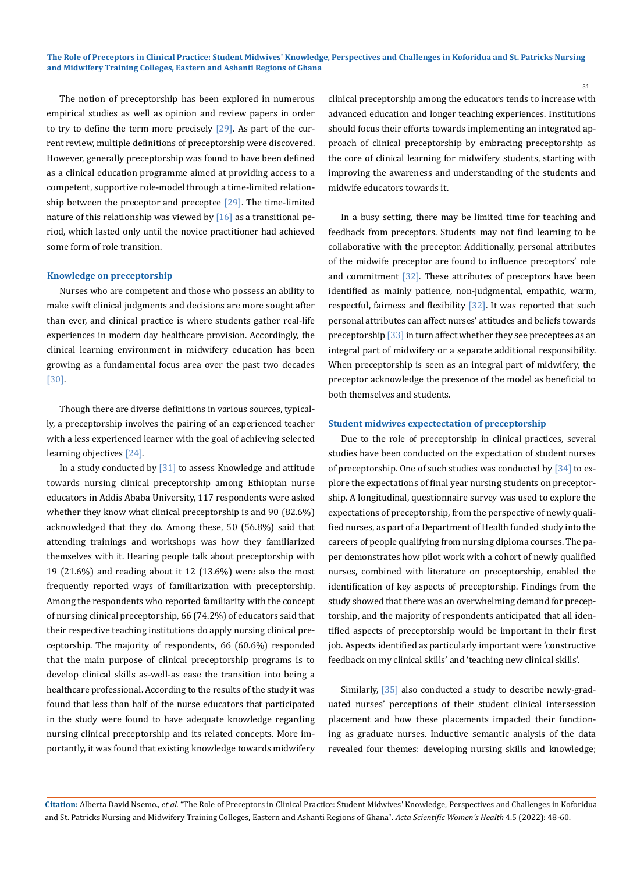The notion of preceptorship has been explored in numerous empirical studies as well as opinion and review papers in order to try to define the term more precisely  $[29]$ . As part of the current review, multiple definitions of preceptorship were discovered. However, generally preceptorship was found to have been defined as a clinical education programme aimed at providing access to a competent, supportive role-model through a time-limited relationship between the preceptor and preceptee  $[29]$ . The time-limited nature of this relationship was viewed by  $[16]$  as a transitional period, which lasted only until the novice practitioner had achieved some form of role transition.

#### **Knowledge on preceptorship**

Nurses who are competent and those who possess an ability to make swift clinical judgments and decisions are more sought after than ever, and clinical practice is where students gather real-life experiences in modern day healthcare provision. Accordingly, the clinical learning environment in midwifery education has been growing as a fundamental focus area over the past two decades [30].

Though there are diverse definitions in various sources, typically, a preceptorship involves the pairing of an experienced teacher with a less experienced learner with the goal of achieving selected learning objectives [24].

In a study conducted by [31] to assess Knowledge and attitude towards nursing clinical preceptorship among Ethiopian nurse educators in Addis Ababa University, 117 respondents were asked whether they know what clinical preceptorship is and 90 (82.6%) acknowledged that they do. Among these, 50 (56.8%) said that attending trainings and workshops was how they familiarized themselves with it. Hearing people talk about preceptorship with 19 (21.6%) and reading about it 12 (13.6%) were also the most frequently reported ways of familiarization with preceptorship. Among the respondents who reported familiarity with the concept of nursing clinical preceptorship, 66 (74.2%) of educators said that their respective teaching institutions do apply nursing clinical preceptorship. The majority of respondents, 66 (60.6%) responded that the main purpose of clinical preceptorship programs is to develop clinical skills as-well-as ease the transition into being a healthcare professional. According to the results of the study it was found that less than half of the nurse educators that participated in the study were found to have adequate knowledge regarding nursing clinical preceptorship and its related concepts. More importantly, it was found that existing knowledge towards midwifery

clinical preceptorship among the educators tends to increase with advanced education and longer teaching experiences. Institutions should focus their efforts towards implementing an integrated approach of clinical preceptorship by embracing preceptorship as the core of clinical learning for midwifery students, starting with improving the awareness and understanding of the students and midwife educators towards it.

In a busy setting, there may be limited time for teaching and feedback from preceptors. Students may not find learning to be collaborative with the preceptor. Additionally, personal attributes of the midwife preceptor are found to influence preceptors' role and commitment [32]. These attributes of preceptors have been identified as mainly patience, non-judgmental, empathic, warm, respectful, fairness and flexibility [32]. It was reported that such personal attributes can affect nurses' attitudes and beliefs towards preceptorship [33] in turn affect whether they see preceptees as an integral part of midwifery or a separate additional responsibility. When preceptorship is seen as an integral part of midwifery, the preceptor acknowledge the presence of the model as beneficial to both themselves and students.

#### **Student midwives expectectation of preceptorship**

Due to the role of preceptorship in clinical practices, several studies have been conducted on the expectation of student nurses of preceptorship. One of such studies was conducted by [34] to explore the expectations of final year nursing students on preceptorship. A longitudinal, questionnaire survey was used to explore the expectations of preceptorship, from the perspective of newly qualified nurses, as part of a Department of Health funded study into the careers of people qualifying from nursing diploma courses. The paper demonstrates how pilot work with a cohort of newly qualified nurses, combined with literature on preceptorship, enabled the identification of key aspects of preceptorship. Findings from the study showed that there was an overwhelming demand for preceptorship, and the majority of respondents anticipated that all identified aspects of preceptorship would be important in their first job. Aspects identified as particularly important were 'constructive feedback on my clinical skills' and 'teaching new clinical skills'.

Similarly, [35] also conducted a study to describe newly-graduated nurses' perceptions of their student clinical intersession placement and how these placements impacted their functioning as graduate nurses. Inductive semantic analysis of the data revealed four themes: developing nursing skills and knowledge;

**Citation:** Alberta David Nsemo*., et al.* "The Role of Preceptors in Clinical Practice: Student Midwives' Knowledge, Perspectives and Challenges in Koforidua and St. Patricks Nursing and Midwifery Training Colleges, Eastern and Ashanti Regions of Ghana". *Acta Scientific Women's Health* 4.5 (2022): 48-60.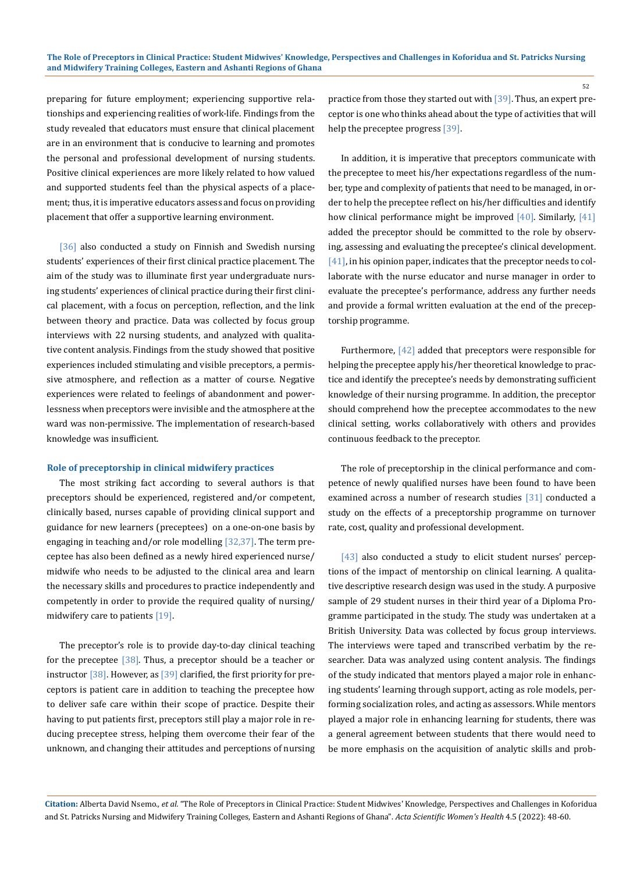preparing for future employment; experiencing supportive relationships and experiencing realities of work-life. Findings from the study revealed that educators must ensure that clinical placement are in an environment that is conducive to learning and promotes the personal and professional development of nursing students. Positive clinical experiences are more likely related to how valued and supported students feel than the physical aspects of a placement; thus, it is imperative educators assess and focus on providing placement that offer a supportive learning environment.

[36] also conducted a study on Finnish and Swedish nursing students' experiences of their first clinical practice placement. The aim of the study was to illuminate first year undergraduate nursing students' experiences of clinical practice during their first clinical placement, with a focus on perception, reflection, and the link between theory and practice. Data was collected by focus group interviews with 22 nursing students, and analyzed with qualitative content analysis. Findings from the study showed that positive experiences included stimulating and visible preceptors, a permissive atmosphere, and reflection as a matter of course. Negative experiences were related to feelings of abandonment and powerlessness when preceptors were invisible and the atmosphere at the ward was non-permissive. The implementation of research-based knowledge was insufficient.

#### **Role of preceptorship in clinical midwifery practices**

The most striking fact according to several authors is that preceptors should be experienced, registered and/or competent, clinically based, nurses capable of providing clinical support and guidance for new learners (preceptees) on a one-on-one basis by engaging in teaching and/or role modelling [32,37]. The term preceptee has also been defined as a newly hired experienced nurse/ midwife who needs to be adjusted to the clinical area and learn the necessary skills and procedures to practice independently and competently in order to provide the required quality of nursing/ midwifery care to patients [19].

The preceptor's role is to provide day-to-day clinical teaching for the preceptee  $\left[38\right]$ . Thus, a preceptor should be a teacher or instructor  $\left[38\right]$ . However, as  $\left[39\right]$  clarified, the first priority for preceptors is patient care in addition to teaching the preceptee how to deliver safe care within their scope of practice. Despite their having to put patients first, preceptors still play a major role in reducing preceptee stress, helping them overcome their fear of the unknown, and changing their attitudes and perceptions of nursing practice from those they started out with [39]. Thus, an expert preceptor is one who thinks ahead about the type of activities that will help the preceptee progress [39].

In addition, it is imperative that preceptors communicate with the preceptee to meet his/her expectations regardless of the number, type and complexity of patients that need to be managed, in order to help the preceptee reflect on his/her difficulties and identify how clinical performance might be improved [40]. Similarly, [41] added the preceptor should be committed to the role by observing, assessing and evaluating the preceptee's clinical development. [41], in his opinion paper, indicates that the preceptor needs to collaborate with the nurse educator and nurse manager in order to evaluate the preceptee's performance, address any further needs and provide a formal written evaluation at the end of the preceptorship programme.

Furthermore, [42] added that preceptors were responsible for helping the preceptee apply his/her theoretical knowledge to practice and identify the preceptee's needs by demonstrating sufficient knowledge of their nursing programme. In addition, the preceptor should comprehend how the preceptee accommodates to the new clinical setting, works collaboratively with others and provides continuous feedback to the preceptor.

The role of preceptorship in the clinical performance and competence of newly qualified nurses have been found to have been examined across a number of research studies [31] conducted a study on the effects of a preceptorship programme on turnover rate, cost, quality and professional development.

[43] also conducted a study to elicit student nurses' perceptions of the impact of mentorship on clinical learning. A qualitative descriptive research design was used in the study. A purposive sample of 29 student nurses in their third year of a Diploma Programme participated in the study. The study was undertaken at a British University. Data was collected by focus group interviews. The interviews were taped and transcribed verbatim by the researcher. Data was analyzed using content analysis. The findings of the study indicated that mentors played a major role in enhancing students' learning through support, acting as role models, performing socialization roles, and acting as assessors. While mentors played a major role in enhancing learning for students, there was a general agreement between students that there would need to be more emphasis on the acquisition of analytic skills and prob-

**Citation:** Alberta David Nsemo*., et al.* "The Role of Preceptors in Clinical Practice: Student Midwives' Knowledge, Perspectives and Challenges in Koforidua and St. Patricks Nursing and Midwifery Training Colleges, Eastern and Ashanti Regions of Ghana". *Acta Scientific Women's Health* 4.5 (2022): 48-60.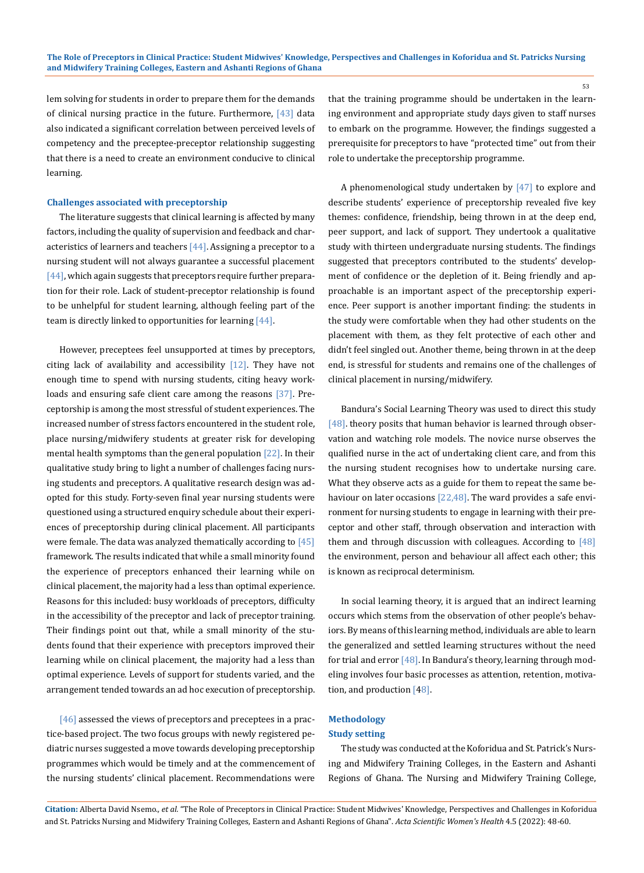lem solving for students in order to prepare them for the demands of clinical nursing practice in the future. Furthermore, [43] data also indicated a significant correlation between perceived levels of competency and the preceptee-preceptor relationship suggesting that there is a need to create an environment conducive to clinical learning.

#### **Challenges associated with preceptorship**

The literature suggests that clinical learning is affected by many factors, including the quality of supervision and feedback and characteristics of learners and teachers  $[44]$ . Assigning a preceptor to a nursing student will not always guarantee a successful placement  $[44]$ , which again suggests that preceptors require further preparation for their role. Lack of student-preceptor relationship is found to be unhelpful for student learning, although feeling part of the team is directly linked to opportunities for learning  $[44]$ .

However, preceptees feel unsupported at times by preceptors, citing lack of availability and accessibility  $[12]$ . They have not enough time to spend with nursing students, citing heavy workloads and ensuring safe client care among the reasons [37]. Preceptorship is among the most stressful of student experiences. The increased number of stress factors encountered in the student role, place nursing/midwifery students at greater risk for developing mental health symptoms than the general population [22]. In their qualitative study bring to light a number of challenges facing nursing students and preceptors. A qualitative research design was adopted for this study. Forty-seven final year nursing students were questioned using a structured enquiry schedule about their experiences of preceptorship during clinical placement. All participants were female. The data was analyzed thematically according to  $[45]$ framework. The results indicated that while a small minority found the experience of preceptors enhanced their learning while on clinical placement, the majority had a less than optimal experience. Reasons for this included: busy workloads of preceptors, difficulty in the accessibility of the preceptor and lack of preceptor training. Their findings point out that, while a small minority of the students found that their experience with preceptors improved their learning while on clinical placement, the majority had a less than optimal experience. Levels of support for students varied, and the arrangement tended towards an ad hoc execution of preceptorship.

 $[46]$  assessed the views of preceptors and preceptees in a practice-based project. The two focus groups with newly registered pediatric nurses suggested a move towards developing preceptorship programmes which would be timely and at the commencement of the nursing students' clinical placement. Recommendations were

that the training programme should be undertaken in the learning environment and appropriate study days given to staff nurses to embark on the programme. However, the findings suggested a prerequisite for preceptors to have "protected time" out from their role to undertake the preceptorship programme.

A phenomenological study undertaken by [47] to explore and describe students' experience of preceptorship revealed five key themes: confidence, friendship, being thrown in at the deep end, peer support, and lack of support. They undertook a qualitative study with thirteen undergraduate nursing students. The findings suggested that preceptors contributed to the students' development of confidence or the depletion of it. Being friendly and approachable is an important aspect of the preceptorship experience. Peer support is another important finding: the students in the study were comfortable when they had other students on the placement with them, as they felt protective of each other and didn't feel singled out. Another theme, being thrown in at the deep end, is stressful for students and remains one of the challenges of clinical placement in nursing/midwifery.

Bandura's Social Learning Theory was used to direct this study [48]. theory posits that human behavior is learned through observation and watching role models. The novice nurse observes the qualified nurse in the act of undertaking client care, and from this the nursing student recognises how to undertake nursing care. What they observe acts as a guide for them to repeat the same behaviour on later occasions [22,48]. The ward provides a safe environment for nursing students to engage in learning with their preceptor and other staff, through observation and interaction with them and through discussion with colleagues. According to  $[48]$ the environment, person and behaviour all affect each other; this is known as reciprocal determinism.

In social learning theory, it is argued that an indirect learning occurs which stems from the observation of other people's behaviors. By means of this learning method, individuals are able to learn the generalized and settled learning structures without the need for trial and error  $[48]$ . In Bandura's theory, learning through modeling involves four basic processes as attention, retention, motivation, and production [48].

# **Methodology**

# **Study setting**

The study was conducted at the Koforidua and St. Patrick's Nursing and Midwifery Training Colleges, in the Eastern and Ashanti Regions of Ghana. The Nursing and Midwifery Training College,

**Citation:** Alberta David Nsemo*., et al.* "The Role of Preceptors in Clinical Practice: Student Midwives' Knowledge, Perspectives and Challenges in Koforidua and St. Patricks Nursing and Midwifery Training Colleges, Eastern and Ashanti Regions of Ghana". *Acta Scientific Women's Health* 4.5 (2022): 48-60.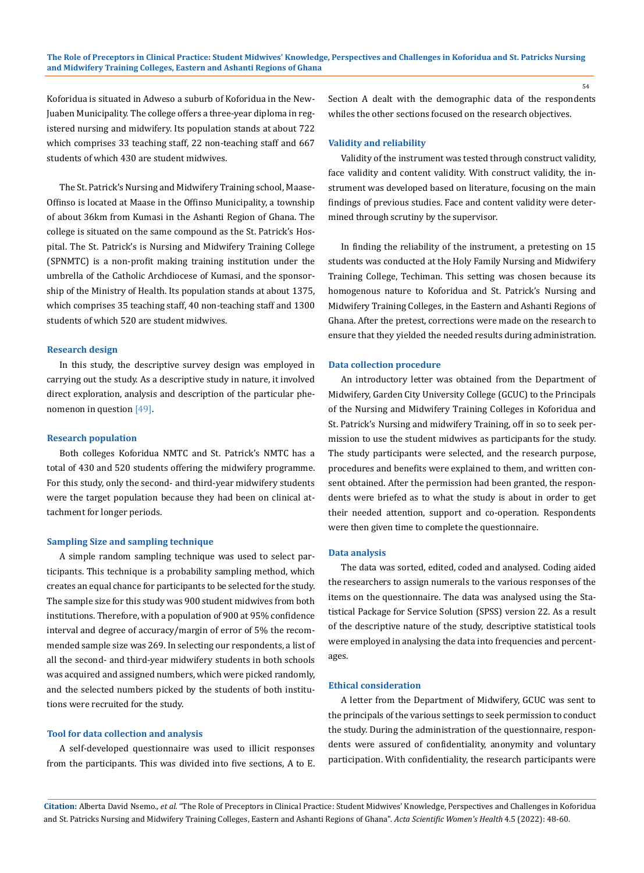Koforidua is situated in Adweso a suburb of Koforidua in the New-Juaben Municipality. The college offers a three-year diploma in registered nursing and midwifery. Its population stands at about 722 which comprises 33 teaching staff, 22 non-teaching staff and 667 students of which 430 are student midwives.

The St. Patrick's Nursing and Midwifery Training school, Maase-Offinso is located at Maase in the Offinso Municipality, a township of about 36km from Kumasi in the Ashanti Region of Ghana. The college is situated on the same compound as the St. Patrick's Hospital. The St. Patrick's is Nursing and Midwifery Training College (SPNMTC) is a non-profit making training institution under the umbrella of the Catholic Archdiocese of Kumasi, and the sponsorship of the Ministry of Health. Its population stands at about 1375, which comprises 35 teaching staff, 40 non-teaching staff and 1300 students of which 520 are student midwives.

### **Research design**

In this study, the descriptive survey design was employed in carrying out the study. As a descriptive study in nature, it involved direct exploration, analysis and description of the particular phenomenon in question [49].

#### **Research population**

Both colleges Koforidua NMTC and St. Patrick's NMTC has a total of 430 and 520 students offering the midwifery programme. For this study, only the second- and third-year midwifery students were the target population because they had been on clinical attachment for longer periods.

#### **Sampling Size and sampling technique**

A simple random sampling technique was used to select participants. This technique is a probability sampling method, which creates an equal chance for participants to be selected for the study. The sample size for this study was 900 student midwives from both institutions. Therefore, with a population of 900 at 95% confidence interval and degree of accuracy/margin of error of 5% the recommended sample size was 269. In selecting our respondents, a list of all the second- and third-year midwifery students in both schools was acquired and assigned numbers, which were picked randomly, and the selected numbers picked by the students of both institutions were recruited for the study.

#### **Tool for data collection and analysis**

A self-developed questionnaire was used to illicit responses from the participants. This was divided into five sections, A to E. Section A dealt with the demographic data of the respondents whiles the other sections focused on the research objectives.

# **Validity and reliability**

Validity of the instrument was tested through construct validity, face validity and content validity. With construct validity, the instrument was developed based on literature, focusing on the main findings of previous studies. Face and content validity were determined through scrutiny by the supervisor.

In finding the reliability of the instrument, a pretesting on 15 students was conducted at the Holy Family Nursing and Midwifery Training College, Techiman. This setting was chosen because its homogenous nature to Koforidua and St. Patrick's Nursing and Midwifery Training Colleges, in the Eastern and Ashanti Regions of Ghana. After the pretest, corrections were made on the research to ensure that they yielded the needed results during administration.

#### **Data collection procedure**

An introductory letter was obtained from the Department of Midwifery, Garden City University College (GCUC) to the Principals of the Nursing and Midwifery Training Colleges in Koforidua and St. Patrick's Nursing and midwifery Training, off in so to seek permission to use the student midwives as participants for the study. The study participants were selected, and the research purpose, procedures and benefits were explained to them, and written consent obtained. After the permission had been granted, the respondents were briefed as to what the study is about in order to get their needed attention, support and co-operation. Respondents were then given time to complete the questionnaire.

#### **Data analysis**

The data was sorted, edited, coded and analysed. Coding aided the researchers to assign numerals to the various responses of the items on the questionnaire. The data was analysed using the Statistical Package for Service Solution (SPSS) version 22. As a result of the descriptive nature of the study, descriptive statistical tools were employed in analysing the data into frequencies and percentages.

#### **Ethical consideration**

A letter from the Department of Midwifery, GCUC was sent to the principals of the various settings to seek permission to conduct the study. During the administration of the questionnaire, respondents were assured of confidentiality, anonymity and voluntary participation. With confidentiality, the research participants were

**Citation:** Alberta David Nsemo*., et al.* "The Role of Preceptors in Clinical Practice: Student Midwives' Knowledge, Perspectives and Challenges in Koforidua and St. Patricks Nursing and Midwifery Training Colleges, Eastern and Ashanti Regions of Ghana". *Acta Scientific Women's Health* 4.5 (2022): 48-60.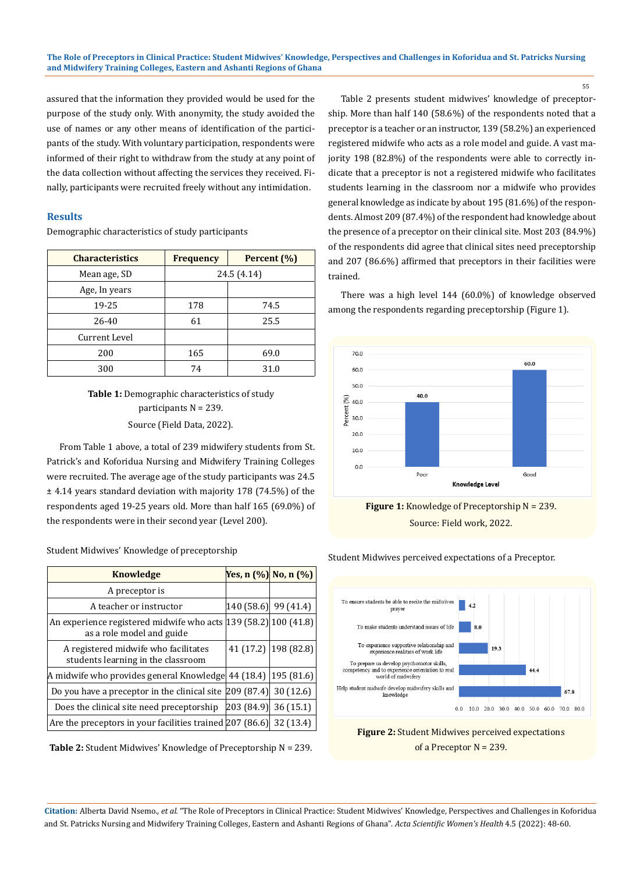assured that the information they provided would be used for the purpose of the study only. With anonymity, the study avoided the use of names or any other means of identification of the participants of the study. With voluntary participation, respondents were informed of their right to withdraw from the study at any point of the data collection without affecting the services they received. Finally, participants were recruited freely without any intimidation.

# **Results**

Demographic characteristics of study participants

| <b>Characteristics</b> | <b>Frequency</b> | Percent (%) |  |
|------------------------|------------------|-------------|--|
| Mean age, SD           | 24.5 (4.14)      |             |  |
| Age, In years          |                  |             |  |
| 19-25                  | 178              | 74.5        |  |
| 26-40                  | 61               | 25.5        |  |
| Current Level          |                  |             |  |
| 200                    | 165              | 69.0        |  |
| 300                    | 74               | 31.0        |  |

# **Table 1:** Demographic characteristics of study participants N = 239. Source (Field Data, 2022).

From Table 1 above, a total of 239 midwifery students from St. Patrick's and Koforidua Nursing and Midwifery Training Colleges were recruited. The average age of the study participants was 24.5 ± 4.14 years standard deviation with majority 178 (74.5%) of the respondents aged 19-25 years old. More than half 165 (69.0%) of the respondents were in their second year (Level 200).

Student Midwives' Knowledge of preceptorship

| Knowledge                                                                                     |                         | Yes, n (%) No, n (%)   |
|-----------------------------------------------------------------------------------------------|-------------------------|------------------------|
| A preceptor is                                                                                |                         |                        |
| A teacher or instructor                                                                       | $ 140(58.6) $ 99 (41.4) |                        |
| An experience registered midwife who acts [139 (58.2] 100 (41.8)<br>as a role model and guide |                         |                        |
| A registered midwife who facilitates<br>students learning in the classroom                    |                         | 41 (17.2)   198 (82.8) |
| A midwife who provides general Knowledge 44 (18.4)                                            |                         | 195(81.6)              |
| Do you have a preceptor in the clinical site $ 209\rangle (87.4) $                            |                         | 30 (12.6)              |
| Does the clinical site need preceptorship                                                     | 203(84.9)               | 36(15.1)               |
| Are the preceptors in your facilities trained 207 (86.6) 32 (13.4)                            |                         |                        |

**Table 2:** Student Midwives' Knowledge of Preceptorship N = 239.

Table 2 presents student midwives' knowledge of preceptorship. More than half 140 (58.6%) of the respondents noted that a preceptor is a teacher or an instructor, 139 (58.2%) an experienced registered midwife who acts as a role model and guide. A vast majority 198 (82.8%) of the respondents were able to correctly indicate that a preceptor is not a registered midwife who facilitates students learning in the classroom nor a midwife who provides general knowledge as indicate by about 195 (81.6%) of the respondents. Almost 209 (87.4%) of the respondent had knowledge about the presence of a preceptor on their clinical site. Most 203 (84.9%) of the respondents did agree that clinical sites need preceptorship and 207 (86.6%) affirmed that preceptors in their facilities were trained.

There was a high level 144 (60.0%) of knowledge observed among the respondents regarding preceptorship (Figure 1).



Source: Field work, 2022.

Student Midwives perceived expectations of a Preceptor.





**Citation:** Alberta David Nsemo*., et al.* "The Role of Preceptors in Clinical Practice: Student Midwives' Knowledge, Perspectives and Challenges in Koforidua and St. Patricks Nursing and Midwifery Training Colleges, Eastern and Ashanti Regions of Ghana". *Acta Scientific Women's Health* 4.5 (2022): 48-60.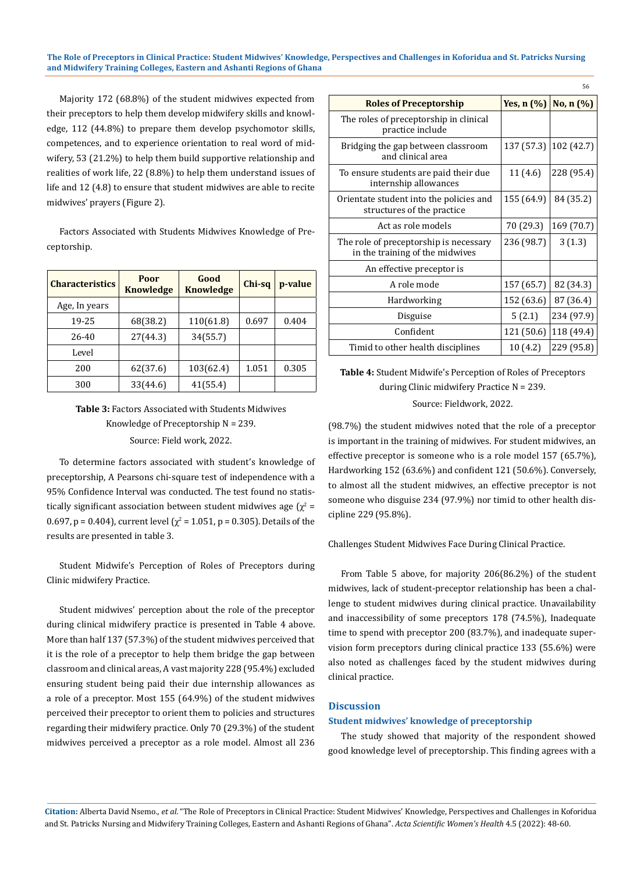#### **The Role of Preceptors in Clinical Practice: Student Midwives' Knowledge, Perspectives and Challenges in Koforidua and St. Patricks Nursing and Midwifery Training Colleges, Eastern and Ashanti Regions of Ghana**

Majority 172 (68.8%) of the student midwives expected from their preceptors to help them develop midwifery skills and knowledge, 112 (44.8%) to prepare them develop psychomotor skills, competences, and to experience orientation to real word of midwifery, 53 (21.2%) to help them build supportive relationship and realities of work life, 22 (8.8%) to help them understand issues of life and 12 (4.8) to ensure that student midwives are able to recite midwives' prayers (Figure 2).

Factors Associated with Students Midwives Knowledge of Preceptorship.

| <b>Characteristics</b> | Poor<br><b>Knowledge</b> | Good<br><b>Knowledge</b> | Chi-sq | p-value |
|------------------------|--------------------------|--------------------------|--------|---------|
| Age, In years          |                          |                          |        |         |
| 19-25                  | 68(38.2)                 | 110(61.8)                | 0.697  | 0.404   |
| $26 - 40$              | 27(44.3)                 | 34(55.7)                 |        |         |
| Level                  |                          |                          |        |         |
| 200                    | 62(37.6)                 | 103(62.4)                | 1.051  | 0.305   |
| 300                    | 33(44.6)                 | 41(55.4)                 |        |         |

**Table 3:** Factors Associated with Students Midwives Knowledge of Preceptorship N = 239. Source: Field work, 2022.

To determine factors associated with student's knowledge of preceptorship, A Pearsons chi-square test of independence with a 95% Confidence Interval was conducted. The test found no statistically significant association between student midwives age ( $\chi^2$  = 0.697, p = 0.404), current level ( $\chi^2$  = 1.051, p = 0.305). Details of the results are presented in table 3.

Student Midwife's Perception of Roles of Preceptors during Clinic midwifery Practice.

Student midwives' perception about the role of the preceptor during clinical midwifery practice is presented in Table 4 above. More than half 137 (57.3%) of the student midwives perceived that it is the role of a preceptor to help them bridge the gap between classroom and clinical areas, A vast majority 228 (95.4%) excluded ensuring student being paid their due internship allowances as a role of a preceptor. Most 155 (64.9%) of the student midwives perceived their preceptor to orient them to policies and structures regarding their midwifery practice. Only 70 (29.3%) of the student midwives perceived a preceptor as a role model. Almost all 236

| <b>Roles of Preceptorship</b>                                             | Yes, $n(\%)$ | No, n (%)             |
|---------------------------------------------------------------------------|--------------|-----------------------|
| The roles of preceptorship in clinical<br>practice include                |              |                       |
| Bridging the gap between classroom<br>and clinical area                   |              | 137 (57.3) 102 (42.7) |
| To ensure students are paid their due<br>internship allowances            | 11 (4.6)     | 228 (95.4)            |
| Orientate student into the policies and<br>structures of the practice     | 155 (64.9)   | 84 (35.2)             |
| Act as role models                                                        | 70 (29.3)    | 169 (70.7)            |
| The role of preceptorship is necessary<br>in the training of the midwives | 236 (98.7)   | 3(1.3)                |
| An effective preceptor is                                                 |              |                       |
| A role mode                                                               | 157 (65.7)   | 82 (34.3)             |
| Hardworking                                                               | 152 (63.6)   | 87 (36.4)             |
| Disguise                                                                  | 5(2.1)       | 234 (97.9)            |
| Confident                                                                 | 121 (50.6)   | 118 (49.4)            |
| Timid to other health disciplines                                         | 10 (4.2)     | 229 (95.8)            |

**Table 4:** Student Midwife's Perception of Roles of Preceptors during Clinic midwifery Practice N = 239.

Source: Fieldwork, 2022.

(98.7%) the student midwives noted that the role of a preceptor is important in the training of midwives. For student midwives, an effective preceptor is someone who is a role model 157 (65.7%), Hardworking 152 (63.6%) and confident 121 (50.6%). Conversely, to almost all the student midwives, an effective preceptor is not someone who disguise 234 (97.9%) nor timid to other health discipline 229 (95.8%).

Challenges Student Midwives Face During Clinical Practice.

From Table 5 above, for majority 206(86.2%) of the student midwives, lack of student-preceptor relationship has been a challenge to student midwives during clinical practice. Unavailability and inaccessibility of some preceptors 178 (74.5%), Inadequate time to spend with preceptor 200 (83.7%), and inadequate supervision form preceptors during clinical practice 133 (55.6%) were also noted as challenges faced by the student midwives during clinical practice.

# **Discussion**

#### **Student midwives' knowledge of preceptorship**

The study showed that majority of the respondent showed good knowledge level of preceptorship. This finding agrees with a

**Citation:** Alberta David Nsemo*., et al.* "The Role of Preceptors in Clinical Practice: Student Midwives' Knowledge, Perspectives and Challenges in Koforidua and St. Patricks Nursing and Midwifery Training Colleges, Eastern and Ashanti Regions of Ghana". *Acta Scientific Women's Health* 4.5 (2022): 48-60.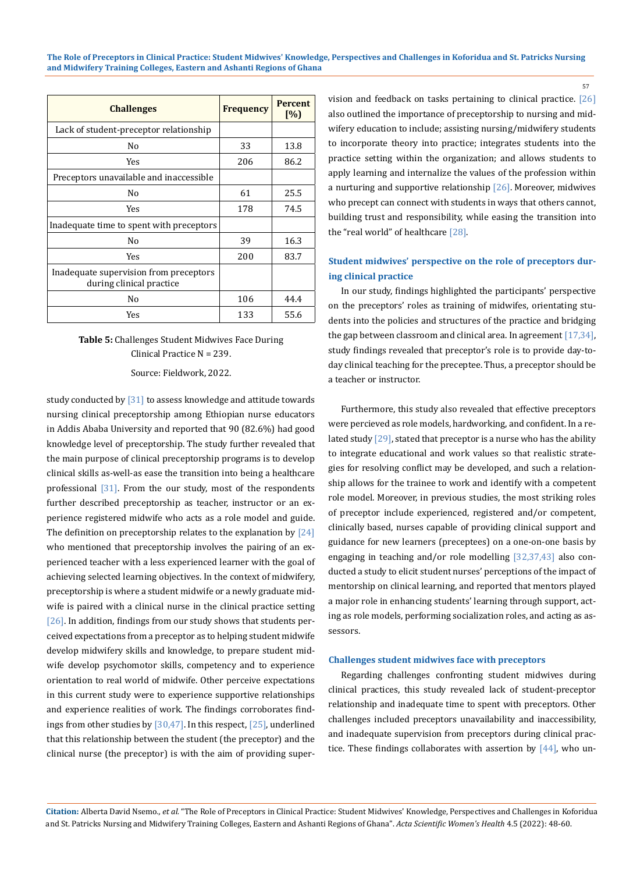| <b>Challenges</b>                                                  | <b>Frequency</b> | <b>Percent</b><br>[%] |
|--------------------------------------------------------------------|------------------|-----------------------|
| Lack of student-preceptor relationship                             |                  |                       |
| No                                                                 | 33               | 13.8                  |
| Yes                                                                | 206              | 86.2                  |
| Preceptors unavailable and inaccessible                            |                  |                       |
| No                                                                 | 61               | 25.5                  |
| Yes                                                                | 178              | 74.5                  |
| Inadequate time to spent with preceptors                           |                  |                       |
| No                                                                 | 39               | 16.3                  |
| Yes                                                                | 200              | 83.7                  |
| Inadequate supervision from preceptors<br>during clinical practice |                  |                       |
| No                                                                 | 106              | 44.4                  |
| Yes                                                                | 133              | 55.6                  |

# **Table 5:** Challenges Student Midwives Face During Clinical Practice N = 239.

Source: Fieldwork, 2022.

study conducted by [31] to assess knowledge and attitude towards nursing clinical preceptorship among Ethiopian nurse educators in Addis Ababa University and reported that 90 (82.6%) had good knowledge level of preceptorship. The study further revealed that the main purpose of clinical preceptorship programs is to develop clinical skills as-well-as ease the transition into being a healthcare professional [31]. From the our study, most of the respondents further described preceptorship as teacher, instructor or an experience registered midwife who acts as a role model and guide. The definition on preceptorship relates to the explanation by  $[24]$ who mentioned that preceptorship involves the pairing of an experienced teacher with a less experienced learner with the goal of achieving selected learning objectives. In the context of midwifery, preceptorship is where a student midwife or a newly graduate midwife is paired with a clinical nurse in the clinical practice setting [26]. In addition, findings from our study shows that students perceived expectations from a preceptor as to helping student midwife develop midwifery skills and knowledge, to prepare student midwife develop psychomotor skills, competency and to experience orientation to real world of midwife. Other perceive expectations in this current study were to experience supportive relationships and experience realities of work. The findings corroborates findings from other studies by [30,47]. In this respect, [25], underlined that this relationship between the student (the preceptor) and the clinical nurse (the preceptor) is with the aim of providing supervision and feedback on tasks pertaining to clinical practice. [26] also outlined the importance of preceptorship to nursing and midwifery education to include; assisting nursing/midwifery students to incorporate theory into practice; integrates students into the practice setting within the organization; and allows students to apply learning and internalize the values of the profession within a nurturing and supportive relationship  $[26]$ . Moreover, midwives who precept can connect with students in ways that others cannot, building trust and responsibility, while easing the transition into the "real world" of healthcare [28].

57

# **Student midwives' perspective on the role of preceptors during clinical practice**

In our study, findings highlighted the participants' perspective on the preceptors' roles as training of midwifes, orientating students into the policies and structures of the practice and bridging the gap between classroom and clinical area. In agreement [17,34], study findings revealed that preceptor's role is to provide day-today clinical teaching for the preceptee. Thus, a preceptor should be a teacher or instructor.

Furthermore, this study also revealed that effective preceptors were percieved as role models, hardworking, and confident. In a related study  $[29]$ , stated that preceptor is a nurse who has the ability to integrate educational and work values so that realistic strategies for resolving conflict may be developed, and such a relationship allows for the trainee to work and identify with a competent role model. Moreover, in previous studies, the most striking roles of preceptor include experienced, registered and/or competent, clinically based, nurses capable of providing clinical support and guidance for new learners (preceptees) on a one-on-one basis by engaging in teaching and/or role modelling [32,37,43] also conducted a study to elicit student nurses' perceptions of the impact of mentorship on clinical learning, and reported that mentors played a major role in enhancing students' learning through support, acting as role models, performing socialization roles, and acting as assessors.

## **Challenges student midwives face with preceptors**

Regarding challenges confronting student midwives during clinical practices, this study revealed lack of student-preceptor relationship and inadequate time to spent with preceptors. Other challenges included preceptors unavailability and inaccessibility, and inadequate supervision from preceptors during clinical practice. These findings collaborates with assertion by  $[44]$ , who un-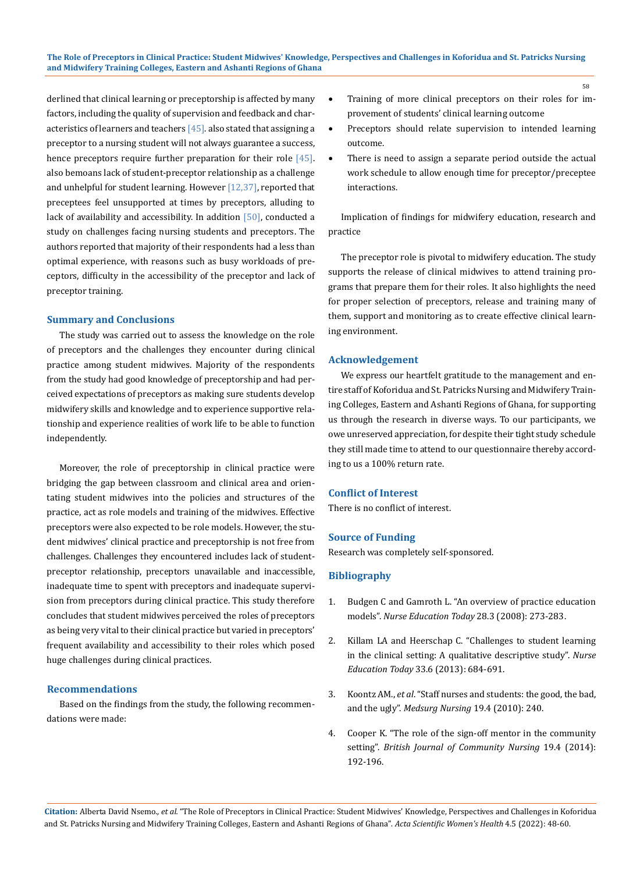derlined that clinical learning or preceptorship is affected by many factors, including the quality of supervision and feedback and characteristics of learners and teachers  $[45]$ . also stated that assigning a preceptor to a nursing student will not always guarantee a success, hence preceptors require further preparation for their role [45]. also bemoans lack of student-preceptor relationship as a challenge and unhelpful for student learning. However [12,37], reported that preceptees feel unsupported at times by preceptors, alluding to lack of availability and accessibility. In addition  $[50]$ , conducted a study on challenges facing nursing students and preceptors. The authors reported that majority of their respondents had a less than optimal experience, with reasons such as busy workloads of preceptors, difficulty in the accessibility of the preceptor and lack of preceptor training.

## **Summary and Conclusions**

The study was carried out to assess the knowledge on the role of preceptors and the challenges they encounter during clinical practice among student midwives. Majority of the respondents from the study had good knowledge of preceptorship and had perceived expectations of preceptors as making sure students develop midwifery skills and knowledge and to experience supportive relationship and experience realities of work life to be able to function independently.

Moreover, the role of preceptorship in clinical practice were bridging the gap between classroom and clinical area and orientating student midwives into the policies and structures of the practice, act as role models and training of the midwives. Effective preceptors were also expected to be role models. However, the student midwives' clinical practice and preceptorship is not free from challenges. Challenges they encountered includes lack of studentpreceptor relationship, preceptors unavailable and inaccessible, inadequate time to spent with preceptors and inadequate supervision from preceptors during clinical practice. This study therefore concludes that student midwives perceived the roles of preceptors as being very vital to their clinical practice but varied in preceptors' frequent availability and accessibility to their roles which posed huge challenges during clinical practices.

# **Recommendations**

Based on the findings from the study, the following recommendations were made:

Training of more clinical preceptors on their roles for improvement of students' clinical learning outcome

58

- • Preceptors should relate supervision to intended learning outcome.
- There is need to assign a separate period outside the actual work schedule to allow enough time for preceptor/preceptee interactions.

Implication of findings for midwifery education, research and practice

The preceptor role is pivotal to midwifery education. The study supports the release of clinical midwives to attend training programs that prepare them for their roles. It also highlights the need for proper selection of preceptors, release and training many of them, support and monitoring as to create effective clinical learning environment.

# **Acknowledgement**

We express our heartfelt gratitude to the management and entire staff of Koforidua and St. Patricks Nursing and Midwifery Training Colleges, Eastern and Ashanti Regions of Ghana, for supporting us through the research in diverse ways. To our participants, we owe unreserved appreciation, for despite their tight study schedule they still made time to attend to our questionnaire thereby according to us a 100% return rate.

# **Conflict of Interest**

There is no conflict of interest.

## **Source of Funding**

Research was completely self-sponsored.

# **Bibliography**

- 1. [Budgen C and Gamroth L. "An overview of practice education](https://pubmed.ncbi.nlm.nih.gov/17629596/)  models". *[Nurse Education Today](https://pubmed.ncbi.nlm.nih.gov/17629596/)* 28.3 (2008): 273-283.
- 2. [Killam LA and Heerschap C. "Challenges to student learning](https://pubmed.ncbi.nlm.nih.gov/23141689/)  [in the clinical setting: A qualitative descriptive study".](https://pubmed.ncbi.nlm.nih.gov/23141689/) *Nurse Education Today* [33.6 \(2013\): 684-691.](https://pubmed.ncbi.nlm.nih.gov/23141689/)
- 3. Koontz AM., *et al*[. "Staff nurses and students: the good, the bad,](https://pubmed.ncbi.nlm.nih.gov/20860251/)  and the ugly". *[Medsurg Nursing](https://pubmed.ncbi.nlm.nih.gov/20860251/)* 19.4 (2010): 240.
- 4. [Cooper K. "The role of the sign-off mentor in the community](https://pubmed.ncbi.nlm.nih.gov/24893555/)  setting". *[British Journal of Community Nursing](https://pubmed.ncbi.nlm.nih.gov/24893555/)* 19.4 (2014): [192-196.](https://pubmed.ncbi.nlm.nih.gov/24893555/)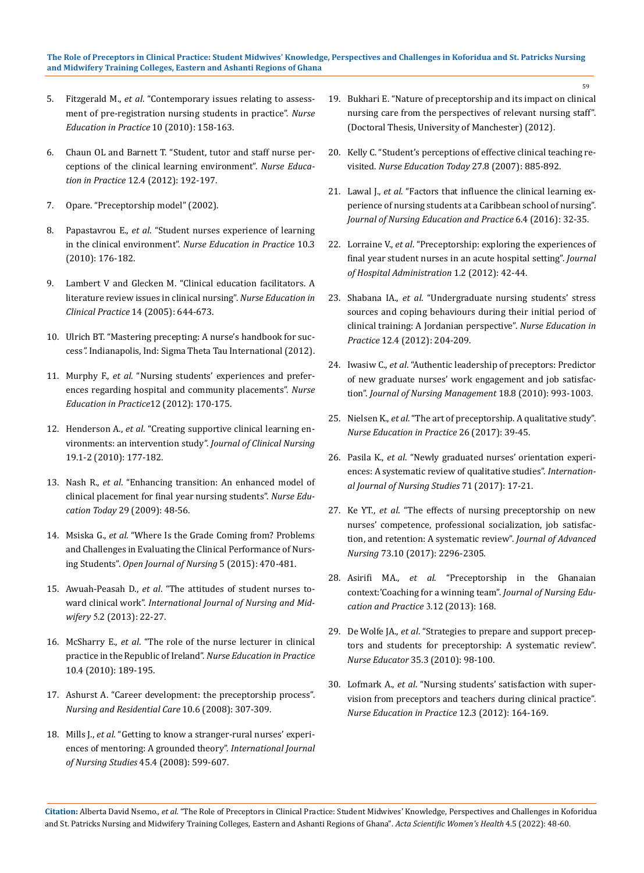#### **The Role of Preceptors in Clinical Practice: Student Midwives' Knowledge, Perspectives and Challenges in Koforidua and St. Patricks Nursing and Midwifery Training Colleges, Eastern and Ashanti Regions of Ghana**

- 5. Fitzgerald M., *et al*[. "Contemporary issues relating to assess](https://www.sciencedirect.com/science/article/abs/pii/S1471595309001176)[ment of pre-registration nursing students in practice".](https://www.sciencedirect.com/science/article/abs/pii/S1471595309001176) *Nurse [Education in Practice](https://www.sciencedirect.com/science/article/abs/pii/S1471595309001176)* 10 (2010): 158-163.
- 6. [Chaun OL and Barnett T. "Student, tutor and staff nurse per](https://pubmed.ncbi.nlm.nih.gov/22277167/)[ceptions of the clinical learning environment".](https://pubmed.ncbi.nlm.nih.gov/22277167/) *Nurse Education in Practice* [12.4 \(2012\): 192-197.](https://pubmed.ncbi.nlm.nih.gov/22277167/)
- 7. Opare. "Preceptorship model" (2002).
- 8. Papastavrou E., *et al*[. "Student nurses experience of learning](https://pubmed.ncbi.nlm.nih.gov/19700368/)  in the clinical environment". *[Nurse Education in Practice](https://pubmed.ncbi.nlm.nih.gov/19700368/)* 10.3 [\(2010\): 176-182.](https://pubmed.ncbi.nlm.nih.gov/19700368/)
- 9. [Lambert V and Glecken M. "Clinical education facilitators. A](https://pubmed.ncbi.nlm.nih.gov/15946274/)  [literature review issues in clinical nursing".](https://pubmed.ncbi.nlm.nih.gov/15946274/) *Nurse Education in Clinical Practice* [14 \(2005\): 644-673.](https://pubmed.ncbi.nlm.nih.gov/15946274/)
- 10. [Ulrich BT. "Mastering precepting: A nurse's handbook for suc](https://play.google.com/store/books/details/Beth_Ulrich_Mastering_Precepting_Second_Edition?id=N-t_DwAAQBAJ)cess*".* [Indianapolis, Ind: Sigma Theta Tau International \(2012\).](https://play.google.com/store/books/details/Beth_Ulrich_Mastering_Precepting_Second_Edition?id=N-t_DwAAQBAJ)
- 11. Murphy F., *et al*[. "Nursing students' experiences and prefer](https://pubmed.ncbi.nlm.nih.gov/22265991/)[ences regarding hospital and community placements".](https://pubmed.ncbi.nlm.nih.gov/22265991/) *Nurse [Education in Practice](https://pubmed.ncbi.nlm.nih.gov/22265991/)*12 (2012): 170-175.
- 12. Henderson A., *et al*[. "Creating supportive clinical learning en](https://pubmed.ncbi.nlm.nih.gov/19686319/)[vironments: an intervention study".](https://pubmed.ncbi.nlm.nih.gov/19686319/) *Journal of Clinical Nursing* [19.1-2 \(2010\): 177-182.](https://pubmed.ncbi.nlm.nih.gov/19686319/)
- 13. Nash R., *et al*[. "Enhancing transition: An enhanced model of](https://pubmed.ncbi.nlm.nih.gov/18692279/)  [clinical placement for final year nursing students".](https://pubmed.ncbi.nlm.nih.gov/18692279/) *Nurse Education Today* [29 \(2009\): 48-56.](https://pubmed.ncbi.nlm.nih.gov/18692279/)
- 14. Msiska G., *et al*[. "Where Is the Grade Coming from? Problems](https://www.researchgate.net/publication/277047307_Where_Is_the_Grade_Coming_from_Problems_and_Challenges_in_Evaluating_the_Clinical_Performance_of_Nursing_Students)  [and Challenges in Evaluating the Clinical Performance of Nurs](https://www.researchgate.net/publication/277047307_Where_Is_the_Grade_Coming_from_Problems_and_Challenges_in_Evaluating_the_Clinical_Performance_of_Nursing_Students)ing Students". *[Open Journal of Nursing](https://www.researchgate.net/publication/277047307_Where_Is_the_Grade_Coming_from_Problems_and_Challenges_in_Evaluating_the_Clinical_Performance_of_Nursing_Students)* 5 (2015): 470-481.
- 15. Awuah-Peasah D., *et al*[. "The attitudes of student nurses to](https://www.researchgate.net/publication/272724157_The_attitudes_of_student_nurses_toward_clinical_work)ward clinical work". *[International Journal of Nursing and Mid](https://www.researchgate.net/publication/272724157_The_attitudes_of_student_nurses_toward_clinical_work)wifery* 5[.2 \(2013\): 22-27.](https://www.researchgate.net/publication/272724157_The_attitudes_of_student_nurses_toward_clinical_work)
- 16. McSharry E., *et al*[. "The role of the nurse lecturer in clinical](https://pubmed.ncbi.nlm.nih.gov/19850523/)  [practice in the Republic of Ireland".](https://pubmed.ncbi.nlm.nih.gov/19850523/) *Nurse Education in Practice* [10.4 \(2010\): 189-195.](https://pubmed.ncbi.nlm.nih.gov/19850523/)
- 17. [Ashurst A. "Career development: the preceptorship process".](https://www.researchgate.net/publication/272444594_Career_development_the_preceptorship_process)  *[Nursing and Residential Care](https://www.researchgate.net/publication/272444594_Career_development_the_preceptorship_process)* 10.6 (2008): 307-309.
- 18. Mills J., *et al*[. "Getting to know a stranger-rural nurses' experi](https://pubmed.ncbi.nlm.nih.gov/17280671/)[ences of mentoring: A grounded theory".](https://pubmed.ncbi.nlm.nih.gov/17280671/) *International Journal of Nursing Studies* [45.4 \(2008\): 599-607.](https://pubmed.ncbi.nlm.nih.gov/17280671/)

19. [Bukhari E. "Nature of preceptorship and its impact on clinical](https://www.research.manchester.ac.uk/portal/files/54515881/FULL_TEXT.PDF)  [nursing care from the perspectives of relevant nursing staff".](https://www.research.manchester.ac.uk/portal/files/54515881/FULL_TEXT.PDF)  [\(Doctoral Thesis, University of Manchester\) \(2012\).](https://www.research.manchester.ac.uk/portal/files/54515881/FULL_TEXT.PDF)

59

- 20. [Kelly C. "Student's perceptions of effective clinical teaching re](https://pubmed.ncbi.nlm.nih.gov/17321013/)visited. *[Nurse Education Today](https://pubmed.ncbi.nlm.nih.gov/17321013/)* 27.8 (2007): 885-892.
- 21. Lawal J., *et al*[. "Factors that influence the clinical learning ex](https://www.researchgate.net/publication/286637721_Factors_that_influence_the_clinical_learning_experience_of_nursing_students_at_a_Caribbean_school_of_nursing)[perience of nursing students at a Caribbean school of nursing".](https://www.researchgate.net/publication/286637721_Factors_that_influence_the_clinical_learning_experience_of_nursing_students_at_a_Caribbean_school_of_nursing)  *[Journal of Nursing Education and Practice](https://www.researchgate.net/publication/286637721_Factors_that_influence_the_clinical_learning_experience_of_nursing_students_at_a_Caribbean_school_of_nursing)* 6.4 (2016): 32-35.
- 22. Lorraine V., *et al*[. "Preceptorship: exploring the experiences of](https://www.researchgate.net/publication/237838589_Preceptorship_Exploring_the_experiences_of_final_year_student_nurses_in_acute_hospital_setting)  [final year student nurses in an acute hospital setting".](https://www.researchgate.net/publication/237838589_Preceptorship_Exploring_the_experiences_of_final_year_student_nurses_in_acute_hospital_setting) *Journal [of Hospital Administration](https://www.researchgate.net/publication/237838589_Preceptorship_Exploring_the_experiences_of_final_year_student_nurses_in_acute_hospital_setting)* 1.2 (2012): 42-44.
- 23. Shabana IA., *et al*[. "Undergraduate nursing students' stress](https://pubmed.ncbi.nlm.nih.gov/22281123/)  [sources and coping behaviours during their initial period of](https://pubmed.ncbi.nlm.nih.gov/22281123/)  [clinical training: A Jordanian perspective".](https://pubmed.ncbi.nlm.nih.gov/22281123/) *Nurse Education in Practice* [12.4 \(2012\): 204-209.](https://pubmed.ncbi.nlm.nih.gov/22281123/)
- 24. Iwasiw C., *et al*[. "Authentic leadership of preceptors: Predictor](https://pubmed.ncbi.nlm.nih.gov/21073571/)  [of new graduate nurses' work engagement and job satisfac](https://pubmed.ncbi.nlm.nih.gov/21073571/)tion". *[Journal of Nursing Management](https://pubmed.ncbi.nlm.nih.gov/21073571/)* 18.8 (2010): 993-1003.
- 25. Nielsen K., *et al*[. "The art of preceptorship. A qualitative study".](https://pubmed.ncbi.nlm.nih.gov/28668586/)  *[Nurse Education in Practice](https://pubmed.ncbi.nlm.nih.gov/28668586/)* 26 (2017): 39-45.
- 26. Pasila K., *et al*[. "Newly graduated nurses' orientation experi](https://pubmed.ncbi.nlm.nih.gov/28282566/)[ences: A systematic review of qualitative studies".](https://pubmed.ncbi.nlm.nih.gov/28282566/) *Internation[al Journal of Nursing Studies](https://pubmed.ncbi.nlm.nih.gov/28282566/)* 71 (2017): 17-21.
- 27. Ke YT., *et al*[. "The effects of nursing preceptorship on new](https://pubmed.ncbi.nlm.nih.gov/28398636/)  [nurses' competence, professional socialization, job satisfac](https://pubmed.ncbi.nlm.nih.gov/28398636/)[tion, and retention: A systematic review".](https://pubmed.ncbi.nlm.nih.gov/28398636/) *Journal of Advanced Nursing* [73.10 \(2017\): 2296-2305](https://pubmed.ncbi.nlm.nih.gov/28398636/)*.*
- 28. Asirifi MA., *et al*[. "Preceptorship in the Ghanaian](https://www.sciedu.ca/journal/index.php/jnep/article/viewFile/2529/1894)  [context:'Coaching for a winning team".](https://www.sciedu.ca/journal/index.php/jnep/article/viewFile/2529/1894) *Journal of Nursing Edu[cation and Practice](https://www.sciedu.ca/journal/index.php/jnep/article/viewFile/2529/1894)* 3.12 (2013): 168.
- 29. De Wolfe JA., *et al*[. "Strategies to prepare and support precep](https://pubmed.ncbi.nlm.nih.gov/20410740/)[tors and students for preceptorship: A systematic review".](https://pubmed.ncbi.nlm.nih.gov/20410740/)  *Nurse Educator* [35.3 \(2010\): 98-100.](https://pubmed.ncbi.nlm.nih.gov/20410740/)
- 30. Lofmark A., *et al*[. "Nursing students' satisfaction with super](https://pubmed.ncbi.nlm.nih.gov/22225731/)[vision from preceptors and teachers during clinical practice".](https://pubmed.ncbi.nlm.nih.gov/22225731/)  *[Nurse Education in Practice](https://pubmed.ncbi.nlm.nih.gov/22225731/)* 12.3 (2012): 164-169.